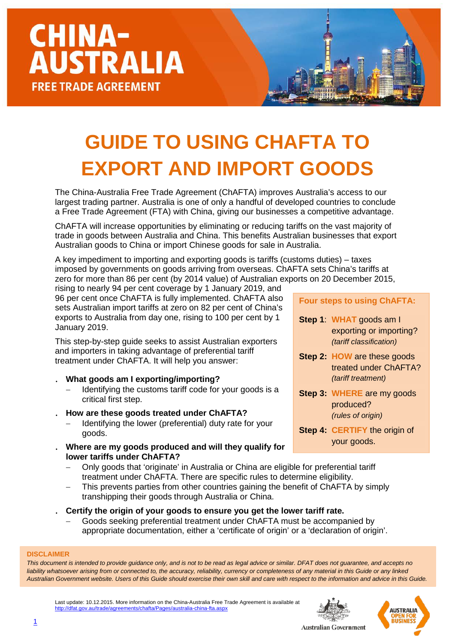### **GUIDE TO USING CHAFTA TO EXPORT AND IMPORT GOODS**

The China-Australia Free Trade Agreement (ChAFTA) improves Australia's access to our largest trading partner. Australia is one of only a handful of developed countries to conclude a Free Trade Agreement (FTA) with China, giving our businesses a competitive advantage.

ChAFTA will increase opportunities by eliminating or reducing tariffs on the vast majority of trade in goods between Australia and China. This benefits Australian businesses that export Australian goods to China or import Chinese goods for sale in Australia.

A key impediment to importing and exporting goods is tariffs (customs duties) – taxes imposed by governments on goods arriving from overseas. ChAFTA sets China's tariffs at zero for more than 86 per cent (by 2014 value) of Australian exports on 20 December 2015,

rising to nearly 94 per cent coverage by 1 January 2019, and 96 per cent once ChAFTA is fully implemented. ChAFTA also sets Australian import tariffs at zero on 82 per cent of China's exports to Australia from day one, rising to 100 per cent by 1 January 2019.

This step-by-step guide seeks to assist Australian exporters and importers in taking advantage of preferential tariff treatment under ChAFTA. It will help you answer:

- . **What goods am I exporting/importing?**
	- Identifying the customs tariff code for your goods is a critical first step.
- . **How are these goods treated under ChAFTA?**
	- Identifying the lower (preferential) duty rate for your goods.
- . **Where are my goods produced and will they qualify for lower tariffs under ChAFTA?**
	- − Only goods that 'originate' in Australia or China are eligible for preferential tariff treatment under ChAFTA. There are specific rules to determine eligibility.
	- This prevents parties from other countries gaining the benefit of ChAFTA by simply transhipping their goods through Australia or China.
- . **Certify the origin of your goods to ensure you get the lower tariff rate.**
	- − Goods seeking preferential treatment under ChAFTA must be accompanied by appropriate documentation, either a 'certificate of origin' or a 'declaration of origin'.

#### **DISCLAIMER**

*This document is intended to provide guidance only, and is not to be read as legal advice or similar. DFAT does not guarantee, and accepts no*  liability whatsoever arising from or connected to, the accuracy, reliability, currency or completeness of any material in this Guide or any linked *Australian Government website. Users of this Guide should exercise their own skill and care with respect to the information and advice in this Guide.*

Last update: 10.12.2015. More information on the China-Australia Free Trade Agreement is available at at.gov.au/trade/agreements/chafta/Pages/australia-china-fta.aspx





**Four steps to using ChAFTA:**

- **Step 1**: **WHAT** goods am I exporting or importing? *(tariff classification)*
- **Step 2: HOW** are these goods treated under ChAFTA? *(tariff treatment)*
- **Step 3: WHERE** are my goods produced? *(rules of origin)*
- **Step 4: CERTIFY** the origin of your goods.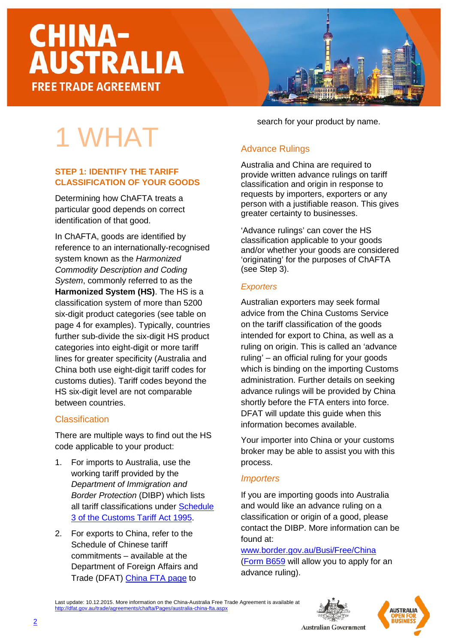1 WHAT

**STEP 1: IDENTIFY THE TARIFF** 

Determining how ChAFTA treats a particular good depends on correct

In ChAFTA, goods are identified by

system known as the *Harmonized Commodity Description and Coding System*, commonly referred to as the **Harmonized System (HS)**. The HS is a classification system of more than 5200 six-digit product categories (see table on page 4 for examples). Typically, countries further sub-divide the six-digit HS product categories into eight-digit or more tariff lines for greater specificity (Australia and China both use eight-digit tariff codes for customs duties). Tariff codes beyond the HS six-digit level are not comparable

reference to an internationally-recognised

There are multiple ways to find out the HS

[3 of the Customs Tariff Act 1995.](http://www.customs.gov.au/tariff/tariff2012.asp)

2. For exports to China, refer to the Schedule of Chinese tariff commitments – available at the Department of Foreign Affairs and Trade (DFAT) [China FTA page](http://dfat.gov.au/trade/agreements/chafta/official-documents/Pages/official-documents.aspx) to

code applicable to your product:

1. For imports to Australia, use the working tariff provided by the *Department of Immigration and Border Protection* (DIBP) which lists all tariff classifications under [Schedule](http://www.customs.gov.au/tariff/tariff2012.asp) 

identification of that good.

between countries.

**Classification** 

**CLASSIFICATION OF YOUR GOODS**

search for your product by name.

#### Advance Rulings

Australia and China are required to provide written advance rulings on tariff classification and origin in response to requests by importers, exporters or any person with a justifiable reason. This gives greater certainty to businesses.

'Advance rulings' can cover the HS classification applicable to your goods and/or whether your goods are considered 'originating' for the purposes of ChAFTA (see Step 3).

#### *Exporters*

Australian exporters may seek formal advice from the China Customs Service on the tariff classification of the goods intended for export to China, as well as a ruling on origin. This is called an 'advance ruling' – an official ruling for your goods which is binding on the importing Customs administration. Further details on seeking advance rulings will be provided by China shortly before the FTA enters into force. DFAT will update this guide when this information becomes available.

Your importer into China or your customs broker may be able to assist you with this process.

#### *Importers*

If you are importing goods into Australia and would like an advance ruling on a classification or origin of a good, please contact the DIBP. More information can be found at:

[www.border.gov.au/Busi/Free/China](http://www.border.gov.au/Busi/Free/China)  [\(Form B659](http://www.border.gov.au/Forms/Documents/b659.pdf) will allow you to apply for an advance ruling).

Last update: 10.12.2015. More information on the China-Australia Free Trade Agreement is available at <http://dfat.gov.au/trade/agreements/chafta/Pages/australia-china-fta.aspx>





2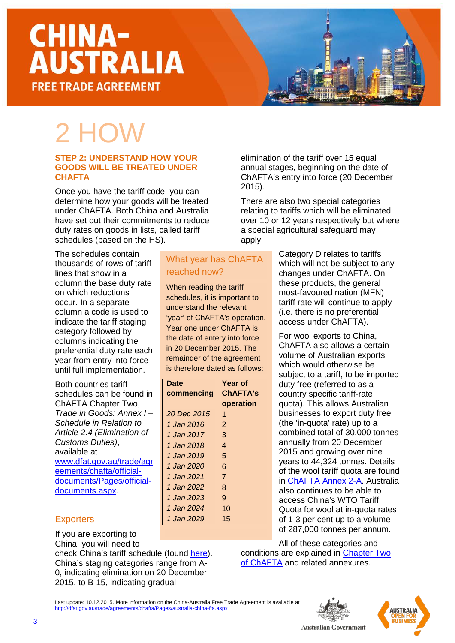### 2 HOW

#### **STEP 2: UNDERSTAND HOW YOUR GOODS WILL BE TREATED UNDER CHAFTA**

Once you have the tariff code, you can determine how your goods will be treated under ChAFTA. Both China and Australia have set out their commitments to reduce duty rates on goods in lists, called tariff schedules (based on the HS).

What year has ChAFTA

**Year of ChAFTA's operation**

reached now?

**Date** 

**commencing**

When reading the tariff schedules, it is important to understand the relevant 'year' of ChAFTA's operation. Year one under ChAFTA is the date of entery into force in 20 December 2015. The remainder of the agreement is therefore dated as follows:

The schedules contain thousands of rows of tariff lines that show in a column the base duty rate on which reductions occur. In a separate column a code is used to indicate the tariff staging category followed by columns indicating the preferential duty rate each year from entry into force until full implementation.

Both countries tariff schedules can be found in ChAFTA Chapter Two, *Trade in Goods: Annex I – Schedule in Relation to Article 2.4 (Elimination of Customs Duties)*, available at [www.dfat.gov.au/trade/agr](http://www.dfat.gov.au/trade/agreements/chafta/official-documents/Pages/official-documents.aspx) [eements/chafta/official](http://www.dfat.gov.au/trade/agreements/chafta/official-documents/Pages/official-documents.aspx)[documents/Pages/official](http://www.dfat.gov.au/trade/agreements/chafta/official-documents/Pages/official-documents.aspx)[documents.aspx.](http://www.dfat.gov.au/trade/agreements/chafta/official-documents/Pages/official-documents.aspx)

#### **Exporters**

If you are exporting to China, you will need to

check China's tariff schedule (found [here\)](http://dfat.gov.au/trade/agreements/chafta/official-documents/Pages/official-documents.aspx). China's staging categories range from A-0, indicating elimination on 20 December 2015, to B-15, indicating gradual

elimination of the tariff over 15 equal annual stages, beginning on the date of ChAFTA's entry into force (20 December 2015).

There are also two special categories relating to tariffs which will be eliminated over 10 or 12 years respectively but where a special agricultural safeguard may apply.

> Category D relates to tariffs which will not be subject to any changes under ChAFTA. On these products, the general most-favoured nation (MFN) tariff rate will continue to apply (i.e. there is no preferential access under ChAFTA).

For wool exports to China, ChAFTA also allows a certain volume of Australian exports, which would otherwise be subject to a tariff, to be imported duty free (referred to as a country specific tariff-rate quota). This allows Australian businesses to export duty free (the 'in-quota' rate) up to a combined total of 30,000 tonnes annually from 20 December 2015 and growing over nine years to 44,324 tonnes. Details of the wool tariff quota are found in [ChAFTA Annex 2-A.](http://dfat.gov.au/trade/agreements/chafta/official-documents/Documents/chafta-chapter-2-trade-in-goods.docx) Australia also continues to be able to access China's WTO Tariff Quota for wool at in-quota rates of 1-3 per cent up to a volume of 287,000 tonnes per annum.

All of these categories and conditions are explained in [Chapter Two](http://dfat.gov.au/trade/agreements/chafta/official-documents/Documents/chafta-chapter-2-trade-in-goods.docx)  [of ChAFTA](http://dfat.gov.au/trade/agreements/chafta/official-documents/Documents/chafta-chapter-2-trade-in-goods.docx) and related annexures.

Last update: 10.12.2015. More information on the China-Australia Free Trade Agreement is available at /australia-china-fta.aspx



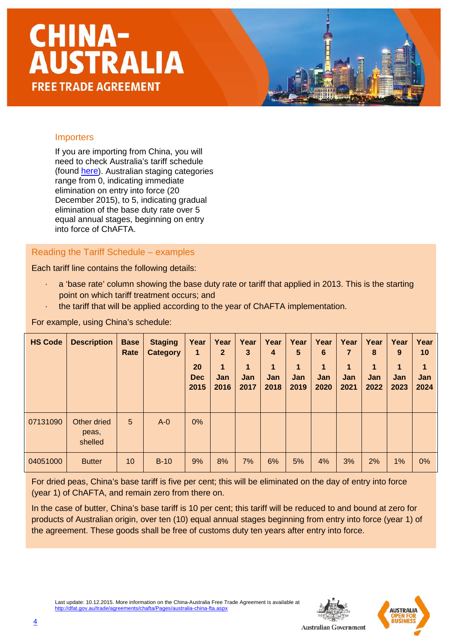#### Importers

If you are importing from China, you will need to check Australia's tariff schedule (found [here\)](http://dfat.gov.au/trade/agreements/chafta/official-documents/Pages/official-documents.aspx). Australian staging categories range from 0, indicating immediate elimination on entry into force (20 December 2015), to 5, indicating gradual elimination of the base duty rate over 5 equal annual stages, beginning on entry into force of ChAFTA.

Reading the Tariff Schedule – examples

Each tariff line contains the following details:

- $\cdot$  a 'base rate' column showing the base duty rate or tariff that applied in 2013. This is the starting point on which tariff treatment occurs; and
- · the tariff that will be applied according to the year of ChAFTA implementation.

For example, using China's schedule:

| <b>HS Code</b> | <b>Description</b>              | <b>Base</b><br>Rate | <b>Staging</b><br><b>Category</b> | Year<br>$\blacksquare$<br>20<br><b>Dec</b><br>2015 | Year<br>$\mathbf{2}$<br>1<br><b>Jan</b><br>2016 | Year<br>3<br>1<br>Jan<br>2017 | Year<br>4<br>1<br>Jan<br>2018 | Year<br>5<br>$\mathbf 1$<br>Jan<br>2019 | Year<br>6<br>$\mathbf{1}$<br><b>Jan</b><br>2020 | Year<br>7<br>1<br><b>Jan</b><br>2021 | Year<br>8<br>$\blacktriangleleft$<br>Jan<br>2022 | Year<br>9<br>$\mathbf 1$<br><b>Jan</b><br>2023 | Year<br>10<br>1<br>Jan<br>2024 |
|----------------|---------------------------------|---------------------|-----------------------------------|----------------------------------------------------|-------------------------------------------------|-------------------------------|-------------------------------|-----------------------------------------|-------------------------------------------------|--------------------------------------|--------------------------------------------------|------------------------------------------------|--------------------------------|
| 07131090       | Other dried<br>peas,<br>shelled | 5                   | $A - 0$                           | $0\%$                                              |                                                 |                               |                               |                                         |                                                 |                                      |                                                  |                                                |                                |
| 04051000       | <b>Butter</b>                   | 10                  | $B-10$                            | 9%                                                 | 8%                                              | 7%                            | 6%                            | 5%                                      | 4%                                              | 3%                                   | 2%                                               | 1%                                             | 0%                             |

For dried peas, China's base tariff is five per cent; this will be eliminated on the day of entry into force (year 1) of ChAFTA, and remain zero from there on.

In the case of butter, China's base tariff is 10 per cent; this tariff will be reduced to and bound at zero for products of Australian origin, over ten (10) equal annual stages beginning from entry into force (year 1) of the agreement. These goods shall be free of customs duty ten years after entry into force.

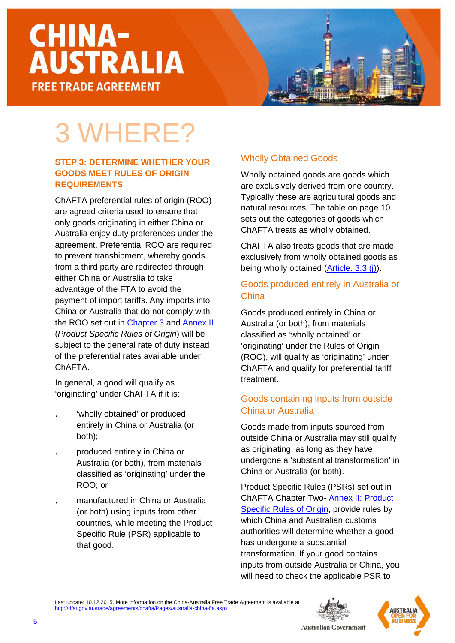### 3 WHERE?

#### **STEP 3: DETERMINE WHETHER YOUR GOODS MEET RULES OF ORIGIN REQUIREMENTS**

ChAFTA preferential rules of origin (ROO) are agreed criteria used to ensure that only goods originating in either China or Australia enjoy duty preferences under the agreement. Preferential ROO are required to prevent transhipment, whereby goods from a third party are redirected through either China or Australia to take advantage of the FTA to avoid the payment of import tariffs. Any imports into China or Australia that do not comply with the ROO set out in [Chapter 3](http://dfat.gov.au/trade/agreements/chafta/official-documents/Documents/chafta-chapter-3-rules-of-origin-and-implementation-procedures.docx) and [Annex II](http://dfat.gov.au/trade/agreements/chafta/official-documents/Documents/chafta-annex-ii-product-specific-rules-of-origin.docx) (*Product Specific Rules of Origin*) will be subject to the general rate of duty instead of the preferential rates available under ChAFTA.

In general, a good will qualify as 'originating' under ChAFTA if it is:

- 'wholly obtained' or produced entirely in China or Australia (or both);
- . produced entirely in China or Australia (or both), from materials classified as 'originating' under the ROO; or
- . manufactured in China or Australia (or both) using inputs from other countries, while meeting the Product Specific Rule (PSR) applicable to that good.

#### Wholly Obtained Goods

Wholly obtained goods are goods which are exclusively derived from one country. Typically these are agricultural goods and natural resources. The table on page 10 sets out the categories of goods which ChAFTA treats as wholly obtained.

ChAFTA also treats goods that are made exclusively from wholly obtained goods as being wholly obtained [\(Article. 3.3](http://dfat.gov.au/trade/agreements/chafta/official-documents/Documents/chafta-chapter-3-rules-of-origin-and-implementation-procedures.docx) (j)).

#### Goods produced entirely in Australia or **China**

Goods produced entirely in China or Australia (or both), from materials classified as 'wholly obtained' or 'originating' under the Rules of Origin (ROO), will qualify as 'originating' under ChAFTA and qualify for preferential tariff treatment.

#### Goods containing inputs from outside China or Australia

Goods made from inputs sourced from outside China or Australia may still qualify as originating, as long as they have undergone a 'substantial transformation' in China or Australia (or both).

Product Specific Rules (PSRs) set out in ChAFTA Chapter Two- [Annex II: Product](http://dfat.gov.au/trade/agreements/chafta/official-documents/Documents/chafta-annex-ii-product-specific-rules-of-origin.docx)  [Specific Rules of Origin,](http://dfat.gov.au/trade/agreements/chafta/official-documents/Documents/chafta-annex-ii-product-specific-rules-of-origin.docx) provide rules by which China and Australian customs authorities will determine whether a good has undergone a substantial transformation. If your good contains inputs from outside Australia or China, you will need to check the applicable PSR to





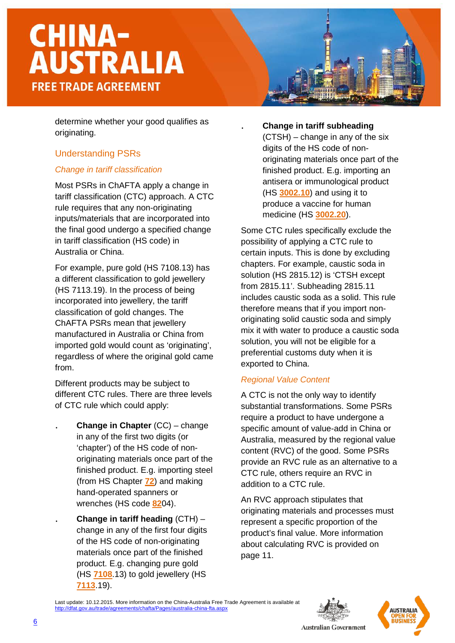determine whether your good qualifies as originating.

#### Understanding PSRs

#### *Change in tariff classification*

Most PSRs in ChAFTA apply a change in tariff classification (CTC) approach. A CTC rule requires that any non-originating inputs/materials that are incorporated into the final good undergo a specified change in tariff classification (HS code) in Australia or China.

For example, pure gold (HS 7108.13) has a different classification to gold jewellery (HS 7113.19). In the process of being incorporated into jewellery, the tariff classification of gold changes. The ChAFTA PSRs mean that jewellery manufactured in Australia or China from imported gold would count as 'originating', regardless of where the original gold came from.

Different products may be subject to different CTC rules. There are three levels of CTC rule which could apply:

- . **Change in Chapter** (CC) change in any of the first two digits (or 'chapter') of the HS code of nonoriginating materials once part of the finished product. E.g. importing steel (from HS Chapter **72**) and making hand-operated spanners or wrenches (HS code **82**04).
- . **Change in tariff heading** (CTH) change in any of the first four digits of the HS code of non-originating materials once part of the finished product. E.g. changing pure gold (HS **7108**.13) to gold jewellery (HS **7113**.19).

#### . **Change in tariff subheading**

(CTSH) – change in any of the six digits of the HS code of nonoriginating materials once part of the finished product. E.g. importing an antisera or immunological product (HS **3002.10**) and using it to produce a vaccine for human medicine (HS **3002.20**).

Some CTC rules specifically exclude the possibility of applying a CTC rule to certain inputs. This is done by excluding chapters. For example, caustic soda in solution (HS 2815.12) is 'CTSH except from 2815.11'. Subheading 2815.11 includes caustic soda as a solid. This rule therefore means that if you import nonoriginating solid caustic soda and simply mix it with water to produce a caustic soda solution, you will not be eligible for a preferential customs duty when it is exported to China.

#### *Regional Value Content*

A CTC is not the only way to identify substantial transformations. Some PSRs require a product to have undergone a specific amount of value-add in China or Australia, measured by the regional value content (RVC) of the good. Some PSRs provide an RVC rule as an alternative to a CTC rule, others require an RVC in addition to a CTC rule.

An RVC approach stipulates that originating materials and processes must represent a specific proportion of the product's final value. More information about calculating RVC is provided on page 11.

Last update: 10.12.2015. More information on the China-Australia Free Trade Agreement is available at china-fta.aspx



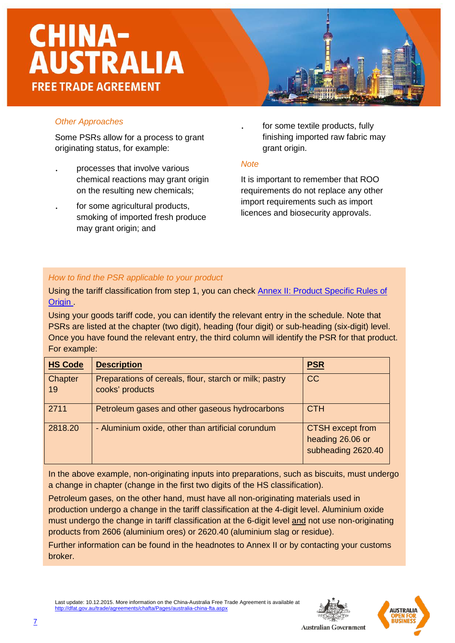

#### *Other Approaches*

Some PSRs allow for a process to grant originating status, for example:

- . processes that involve various chemical reactions may grant origin on the resulting new chemicals;
- . for some agricultural products, smoking of imported fresh produce may grant origin; and

for some textile products, fully finishing imported raw fabric may grant origin.

#### *Note*

It is important to remember that ROO requirements do not replace any other import requirements such as import licences and biosecurity approvals.

#### *How to find the PSR applicable to your product*

Using the tariff classification from step 1, you can check [Annex II: Product Specific Rules of](http://dfat.gov.au/trade/agreements/chafta/official-documents/Documents/chafta-annex-ii-product-specific-rules-of-origin.docx)  Origin

Using your goods tariff code, you can identify the relevant entry in the schedule. Note that PSRs are listed at the chapter (two digit), heading (four digit) or sub-heading (six-digit) level. Once you have found the relevant entry, the third column will identify the PSR for that product. For example:

| <b>HS Code</b> | <b>Description</b>                                                        | <b>PSR</b>                                                        |
|----------------|---------------------------------------------------------------------------|-------------------------------------------------------------------|
| Chapter<br>19  | Preparations of cereals, flour, starch or milk; pastry<br>cooks' products | <b>CC</b>                                                         |
| 2711           | Petroleum gases and other gaseous hydrocarbons                            | <b>CTH</b>                                                        |
| 2818.20        | - Aluminium oxide, other than artificial corundum                         | <b>CTSH</b> except from<br>heading 26.06 or<br>subheading 2620.40 |

In the above example, non-originating inputs into preparations, such as biscuits, must undergo a change in chapter (change in the first two digits of the HS classification).

Petroleum gases, on the other hand, must have all non-originating materials used in production undergo a change in the tariff classification at the 4-digit level. Aluminium oxide must undergo the change in tariff classification at the 6-digit level and not use non-originating products from 2606 (aluminium ores) or 2620.40 (aluminium slag or residue).

Further information can be found in the headnotes to Annex II or by contacting your customs broker.

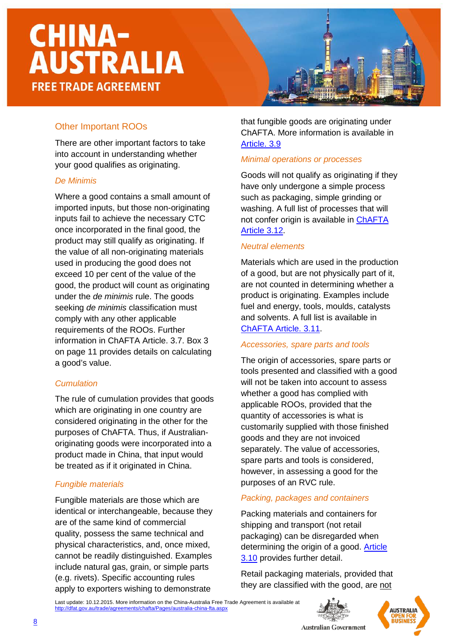#### Other Important ROOs

There are other important factors to take into account in understanding whether your good qualifies as originating.

#### *De Minimis*

Where a good contains a small amount of imported inputs, but those non-originating inputs fail to achieve the necessary CTC once incorporated in the final good, the product may still qualify as originating. If the value of all non-originating materials used in producing the good does not exceed 10 per cent of the value of the good, the product will count as originating under the *de minimis* rule. The goods seeking *de minimis* classification must comply with any other applicable requirements of the ROOs. Further information in ChAFTA Article. 3.7. Box 3 on page 11 provides details on calculating a good's value.

#### *Cumulation*

The rule of cumulation provides that goods which are originating in one country are considered originating in the other for the purposes of ChAFTA. Thus, if Australianoriginating goods were incorporated into a product made in China, that input would be treated as if it originated in China.

#### *Fungible materials*

Fungible materials are those which are identical or interchangeable, because they are of the same kind of commercial quality, possess the same technical and physical characteristics, and, once mixed, cannot be readily distinguished. Examples include natural gas, grain, or simple parts (e.g. rivets). Specific accounting rules apply to exporters wishing to demonstrate

that fungible goods are originating under ChAFTA. More information is available in [Article. 3.9](http://dfat.gov.au/trade/agreements/chafta/official-documents/Documents/chafta-chapter-3-rules-of-origin-and-implementation-procedures.docx)

#### *Minimal operations or processes*

Goods will not qualify as originating if they have only undergone a simple process such as packaging, simple grinding or washing. A full list of processes that will not confer origin is available in [ChAFTA](http://dfat.gov.au/trade/agreements/chafta/official-documents/Documents/chafta-chapter-3-rules-of-origin-and-implementation-procedures.docx) [Article](http://dfat.gov.au/trade/agreements/chafta/official-documents/Documents/chafta-chapter-3-rules-of-origin-and-implementation-procedures.docx) 3.12.

#### *Neutral elements*

Materials which are used in the production of a good, but are not physically part of it, are not counted in determining whether a product is originating. Examples include fuel and energy, tools, moulds, catalysts and solvents. A full list is available in ChAFTA [Article. 3.11.](http://dfat.gov.au/trade/agreements/chafta/official-documents/Documents/chafta-chapter-3-rules-of-origin-and-implementation-procedures.docx)

#### *Accessories, spare parts and tools*

The origin of accessories, spare parts or tools presented and classified with a good will not be taken into account to assess whether a good has complied with applicable ROOs, provided that the quantity of accessories is what is customarily supplied with those finished goods and they are not invoiced separately. The value of accessories, spare parts and tools is considered, however, in assessing a good for the purposes of an RVC rule.

#### *Packing, packages and containers*

Packing materials and containers for shipping and transport (not retail packaging) can be disregarded when determining the origin of a good. [Article](http://dfat.gov.au/trade/agreements/chafta/official-documents/Documents/chafta-chapter-3-rules-of-origin-and-implementation-procedures.docx) [3.10](http://dfat.gov.au/trade/agreements/chafta/official-documents/Documents/chafta-chapter-3-rules-of-origin-and-implementation-procedures.docx) provides further detail.

Retail packaging materials, provided that they are classified with the good, are not



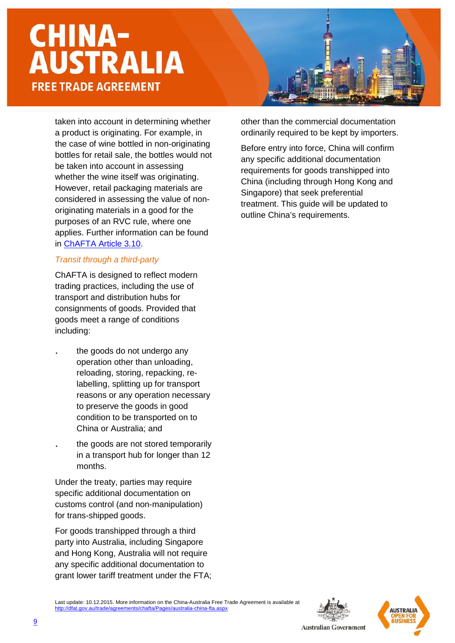taken into account in determining whether a product is originating. For example, in the case of wine bottled in non-originating bottles for retail sale, the bottles would not be taken into account in assessing whether the wine itself was originating. However, retail packaging materials are considered in assessing the value of nonoriginating materials in a good for the purposes of an RVC rule, where one applies. Further information can be found in [ChAFTA](http://dfat.gov.au/trade/agreements/chafta/official-documents/Documents/chafta-chapter-3-rules-of-origin-and-implementation-procedures.docx) Article 3.10.

#### *Transit through a third-party*

ChAFTA is designed to reflect modern trading practices, including the use of transport and distribution hubs for consignments of goods. Provided that goods meet a range of conditions including:

- the goods do not undergo any operation other than unloading, reloading, storing, repacking, relabelling, splitting up for transport reasons or any operation necessary to preserve the goods in good condition to be transported on to China or Australia; and
- the goods are not stored temporarily in a transport hub for longer than 12 months.

Under the treaty, parties may require specific additional documentation on customs control (and non-manipulation) for trans-shipped goods.

For goods transhipped through a third party into Australia, including Singapore and Hong Kong, Australia will not require any specific additional documentation to grant lower tariff treatment under the FTA; other than the commercial documentation ordinarily required to be kept by importers.

Before entry into force, China will confirm any specific additional documentation requirements for goods transhipped into China (including through Hong Kong and Singapore) that seek preferential treatment. This guide will be updated to outline China's requirements.



Last update: 10.12.2015. More information on the China-Australia Free Trade Agreement is available at <http://dfat.gov.au/trade/agreements/chafta/Pages/australia-china-fta.aspx>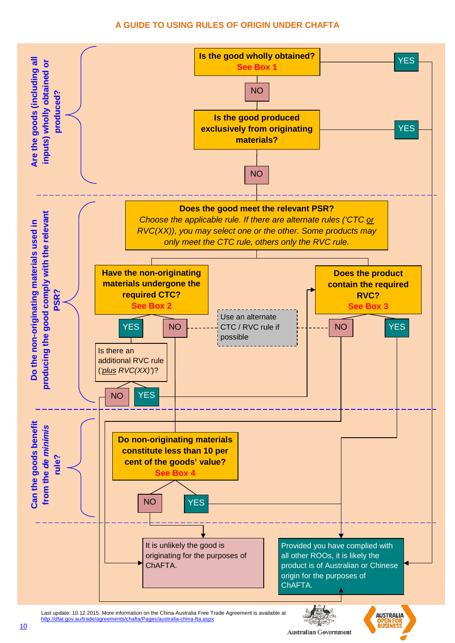#### **A GUIDE TO USING RULES OF ORIGIN UNDER CHAFTA**

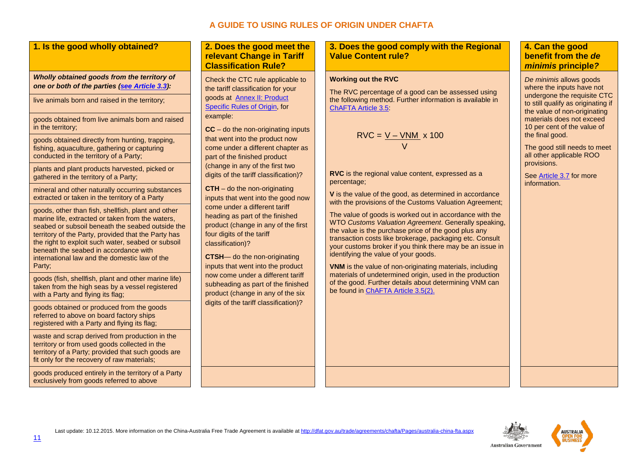#### **A GUIDE TO USING RULES OF ORIGIN UNDER CHAFTA**

|  |  | 1. Is the good wholly obtained? |  |
|--|--|---------------------------------|--|
|  |  |                                 |  |

#### *Wholly obtained goods from the territory of one or both of the parties [\(see Article](http://dfat.gov.au/trade/agreements/chafta/official-documents/Documents/chafta-chapter-3-rules-of-origin-and-implementation-procedures.docx) 3.3):*

live animals born and raised in the territory;

goods obtained from live animals born and raised in the territory;

goods obtained directly from hunting, trapping, fishing, aquaculture, gathering or capturing conducted in the territory of a Party;

plants and plant products harvested, picked or gathered in the territory of a Party;

mineral and other naturally occurring substances extracted or taken in the territory of a Party

goods, other than fish, shellfish, plant and other marine life, extracted or taken from the waters, seabed or subsoil beneath the seabed outside the territory of the Party, provided that the Party has the right to exploit such water, seabed or subsoil beneath the seabed in accordance with international law and the domestic law of the Party;

goods (fish, shellfish, plant and other marine life) taken from the high seas by a vessel registered with a Party and flying its flag;

goods obtained or produced from the goods referred to above on board factory ships registered with a Party and flying its flag;

waste and scrap derived from production in the territory or from used goods collected in the territory of a Party; provided that such goods are fit only for the recovery of raw materials;

goods produced entirely in the territory of a Party exclusively from goods referred to above

#### **1. Does the good meet the relevant Change in Tariff Classification Rule?**

Check the CTC rule applicable to the tariff classification for your goods at [Annex II: Product](http://www.dfat.gov.au/fta/kafta/html/kafta-schedule-product-specific-rules.html)  [Specific Rules of Origin,](http://www.dfat.gov.au/fta/kafta/html/kafta-schedule-product-specific-rules.html) for [example:](http://www.dfat.gov.au/fta/kafta/html/kafta-schedule-product-specific-rules.html)

**CC** – do the non-originating inputs that went into the product now come under a different chapter as part of the finished product (change in any of the first two digits of the tariff classification)?

**CTH** – do the non-originating inputs that went into the good now come under a different tariff heading as part of the finished product (change in any of the first four digits of the tariff classification)?

**CTSH**— do the non-originating inputs that went into the product now come under a different tariff subheading as part of the finished product (change in any of the six digits of the tariff classification)?

**3. Does the good comply with the Regional Value Content rule?** 

#### **Working out the RVC**

The RVC percentage of a good can be assessed using the following method. Further information is available in [ChAFTA](http://dfat.gov.au/trade/agreements/chafta/official-documents/Documents/chafta-chapter-3-rules-of-origin-and-implementation-procedures.docx) Article 3.5:

$$
RVC = \frac{V - VNM}{V} \times 100
$$

**RVC** is the regional value content, expressed as a percentage;

**V** is the value of the good, as determined in accordance with the provisions of the Customs Valuation Agreement:

The value of goods is worked out in accordance with the WTO *Customs Valuation Agreement*. Generally speaking, the value is the purchase price of the good plus any transaction costs like brokerage, packaging etc. Consult your customs broker if you think there may be an issue in identifying the value of your goods.

**VNM** is the value of non-originating materials, including materials of undetermined origin, used in the production of the good. Further details about determining VNM can be found in [ChAFTA Article 3.5\(2\).](http://dfat.gov.au/trade/agreements/chafta/official-documents/Documents/chafta-chapter-3-rules-of-origin-and-implementation-procedures.docx)

#### **4. Can the good benefit from the** *de minimis* **principle***?*

*De minimis* allows goods where the inputs have not undergone the requisite CTC to still qualify as originating if the value of non-originating materials does not exceed 10 per cent of the value of the final good.

The good still needs to meet all other applicable ROO provisions.

Se[e Article](http://dfat.gov.au/trade/agreements/chafta/official-documents/Documents/chafta-chapter-3-rules-of-origin-and-implementation-procedures.docx) 3.7 for more information.

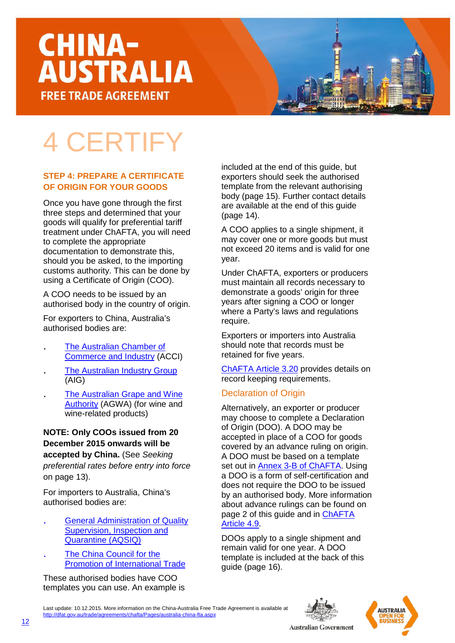### 4 CERTIFY

#### **STEP 4: PREPARE A CERTIFICATE OF ORIGIN FOR YOUR GOODS**

Once you have gone through the first three steps and determined that your goods will qualify for preferential tariff treatment under ChAFTA, you will need to complete the appropriate documentation to demonstrate this, should you be asked, to the importing customs authority. This can be done by using a Certificate of Origin (COO).

A COO needs to be issued by an authorised body in the country of origin.

For exporters to China, Australia's authorised bodies are:

- . [The Australian Chamber of](https://www.acci.asn.au/)  [Commerce and Industry](https://www.acci.asn.au/) (ACCI)
- . [The Australian Industry Group](http://www.aigroup.com.au/) (AIG)
- . [The Australian Grape and Wine](https://www.wineaustralia.com/)  [Authority](https://www.wineaustralia.com/) (AGWA) (for wine and wine-related products)

#### **NOTE: Only COOs issued from 20 December 2015 onwards will be accepted by China.** (See *Seeking preferential rates before entry into force* on page 13).

For importers to Australia, China's authorised bodies are:

- . General Administration of Quality Supervision, Inspection and Quarantine (AQSIQ)
- . The China Council for the Promotion of International Trade

These authorised bodies have COO templates you can use. An example is included at the end of this guide, but exporters should seek the authorised template from the relevant authorising body (page 15). Further contact details are available at the end of this guide (page 14).

A COO applies to a single shipment, it may cover one or more goods but must not exceed 20 items and is valid for one year.

Under ChAFTA, exporters or producers must maintain all records necessary to demonstrate a goods' origin for three years after signing a COO or longer where a Party's laws and regulations require.

Exporters or importers into Australia should note that records must be retained for five years.

[ChAFTA](http://dfat.gov.au/trade/agreements/chafta/official-documents/Documents/chafta-chapter-3-rules-of-origin-and-implementation-procedures.docx) Article 3.20 provides details on record keeping requirements.

#### Declaration of Origin

Alternatively, an exporter or producer may choose to complete a Declaration of Origin (DOO). A DOO may be accepted in place of a COO for goods covered by an advance ruling on origin. A DOO must be based on a template set out in [Annex 3-B of ChAFTA.](http://dfat.gov.au/trade/agreements/chafta/official-documents/Documents/chafta-chapter-3-rules-of-origin-and-implementation-procedures.docx) Using a DOO is a form of self-certification and does not require the DOO to be issued by an authorised body. More information about advance rulings can be found on page 2 of this guide and in [ChAFTA](http://dfat.gov.au/trade/agreements/chafta/official-documents/Documents/chafta-chapter-3-rules-of-origin-and-implementation-procedures.docx)  [Article](http://dfat.gov.au/trade/agreements/chafta/official-documents/Documents/chafta-chapter-3-rules-of-origin-and-implementation-procedures.docx) 4.9.

DOOs apply to a single shipment and remain valid for one year. A DOO template is included at the back of this guide (page 16).



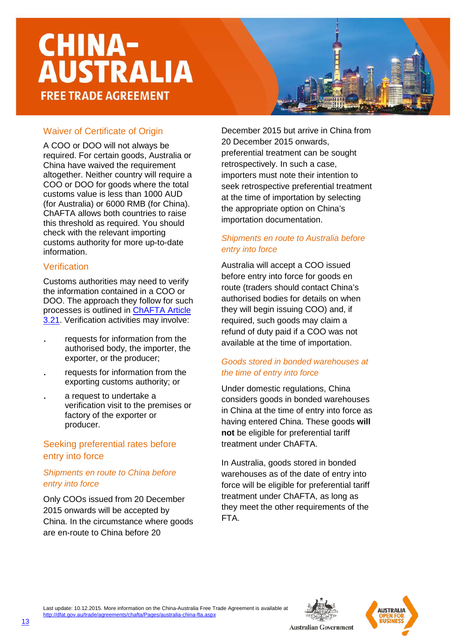

#### Waiver of Certificate of Origin

A COO or DOO will not always be required. For certain goods, Australia or China have waived the requirement altogether. Neither country will require a COO or DOO for goods where the total customs value is less than 1000 AUD (for Australia) or 6000 RMB (for China). ChAFTA allows both countries to raise this threshold as required. You should check with the relevant importing customs authority for more up-to-date information.

#### Verification

Customs authorities may need to verify the information contained in a COO or DOO. The approach they follow for such processes is outlined in [ChAFTA](http://dfat.gov.au/trade/agreements/chafta/official-documents/Documents/chafta-chapter-3-rules-of-origin-and-implementation-procedures.docx) Article [3.21.](http://dfat.gov.au/trade/agreements/chafta/official-documents/Documents/chafta-chapter-3-rules-of-origin-and-implementation-procedures.docx) Verification activities may involve:

- . requests for information from the authorised body, the importer, the exporter, or the producer;
- . requests for information from the exporting customs authority; or
- . a request to undertake a verification visit to the premises or factory of the exporter or producer.

#### Seeking preferential rates before entry into force

#### *Shipments en route to China before entry into force*

Only COOs issued from 20 December 2015 onwards will be accepted by China. In the circumstance where goods are en-route to China before 20

December 2015 but arrive in China from 20 December 2015 onwards, preferential treatment can be sought retrospectively. In such a case, importers must note their intention to seek retrospective preferential treatment at the time of importation by selecting the appropriate option on China's importation documentation.

#### *Shipments en route to Australia before entry into force*

Australia will accept a COO issued before entry into force for goods en route (traders should contact China's authorised bodies for details on when they will begin issuing COO) and, if required, such goods may claim a refund of duty paid if a COO was not available at the time of importation.

#### *Goods stored in bonded warehouses at the time of entry into force*

Under domestic regulations, China considers goods in bonded warehouses in China at the time of entry into force as having entered China. These goods **will not** be eligible for preferential tariff treatment under ChAFTA.

In Australia, goods stored in bonded warehouses as of the date of entry into force will be eligible for preferential tariff treatment under ChAFTA, as long as they meet the other requirements of the FTA.

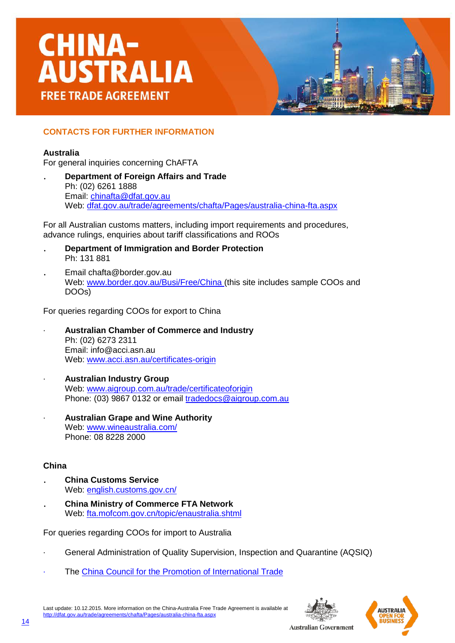#### **CONTACTS FOR FURTHER INFORMATION**

#### **Australia**

For general inquiries concerning ChAFTA

. **Department of Foreign Affairs and Trade** Ph: (02) 6261 1888 Email: [chinafta@dfat.gov.au](mailto:chinafta@dfat.gov.au) Web: [dfat.gov.au/trade/agreements/chafta/Pages/australia-china-fta.aspx](http://dfat.gov.au/trade/agreements/chafta/Pages/australia-china-fta.aspx)

For all Australian customs matters, including import requirements and procedures, advance rulings, enquiries about tariff classifications and ROOs

- . **Department of Immigration and Border Protection** Ph: 131 881
- . Email chafta@border.gov.au Web: [www.border.gov.au/Busi/Free/China](http://www.border.gov.au/Busi/Free/China) (this site includes sample COOs and DOOs)

For queries regarding COOs for export to China

- · **Australian Chamber of Commerce and Industry** Ph: (02) 6273 2311 Email: info@acci.asn.au Web: [www.acci.asn.au/certificates-origin](http://www.acci.asn.au/certificates-origin)
- · **Australian Industry Group** Web: [www.aigroup.com.au/trade/certificateoforigin](http://www.aigroup.com.au/trade/certificateoforigin) Phone: (03) 9867 0132 or email tradedocs@aigroup.com.au
- · **Australian Grape and Wine Authority** Web: [www.wineaustralia.com/](http://www.wineaustralia.com/) Phone: 08 8228 2000

#### **China**

- . **China Customs Service** Web: [english.customs.gov.cn/](http://english.customs.gov.cn/)
- . **China Ministry of Commerce FTA Network** Web: [fta.mofcom.gov.cn/topic/enaustralia.shtml](http://fta.mofcom.gov.cn/topic/enaustralia.shtml)

For queries regarding COOs for import to Australia

- · General Administration of Quality Supervision, Inspection and Quarantine (AQSIQ)
- The [China Council for the Promotion of International Trade](http://www.ccpit.org.cn/contact.asp?action=lxwm)



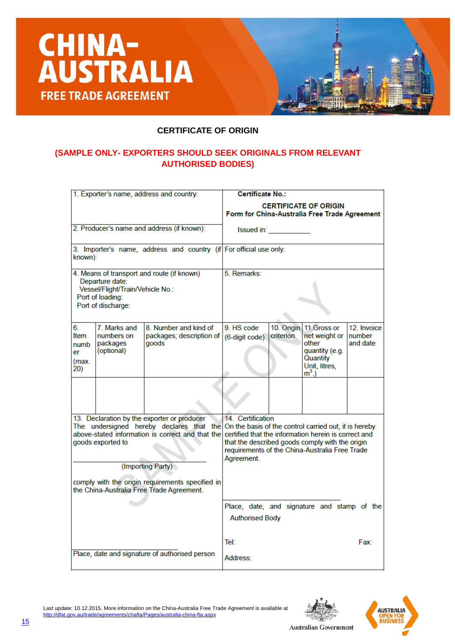



#### **(SAMPLE ONLY- EXPORTERS SHOULD SEEK ORIGINALS FROM RELEVANT AUTHORISED BODIES)**

|                                                                                                                                             |              | 1. Exporter's name, address and country:                                                                             | <b>Certificate No.:</b>                                                                                                                                                                                                                                                                       |                         |                                                                                                  |                                    |  |  |
|---------------------------------------------------------------------------------------------------------------------------------------------|--------------|----------------------------------------------------------------------------------------------------------------------|-----------------------------------------------------------------------------------------------------------------------------------------------------------------------------------------------------------------------------------------------------------------------------------------------|-------------------------|--------------------------------------------------------------------------------------------------|------------------------------------|--|--|
|                                                                                                                                             |              |                                                                                                                      | <b>CERTIFICATE OF ORIGIN</b><br>Form for China-Australia Free Trade Agreement                                                                                                                                                                                                                 |                         |                                                                                                  |                                    |  |  |
|                                                                                                                                             |              | 2. Producer's name and address (if known):                                                                           | Issued in: <b>Sandware</b>                                                                                                                                                                                                                                                                    |                         |                                                                                                  |                                    |  |  |
| known):                                                                                                                                     |              | 3. Importer's name, address and country (if For official use only:                                                   |                                                                                                                                                                                                                                                                                               |                         |                                                                                                  |                                    |  |  |
| 4. Means of transport and route (if known)<br>Departure date:<br>Vessel/Flight/Train/Vehicle No.:<br>Port of loading:<br>Port of discharge: |              |                                                                                                                      | 5. Remarks:                                                                                                                                                                                                                                                                                   |                         |                                                                                                  |                                    |  |  |
| 6.<br>Item<br>numbers on<br>packages<br>numb<br>(optional)<br>er<br>(max.<br>20)                                                            | 7. Marks and | 8. Number and kind of<br>packages; description of<br>goods                                                           | 9. HS code<br>(6-digit code)                                                                                                                                                                                                                                                                  | 10. Origin<br>criterion | 11. Gross or<br>net weight or<br>other<br>quantity (e.g.<br>Quantity<br>Unit, litres,<br>$m3$ .) | 12. Invoice<br>Inumber<br>and date |  |  |
|                                                                                                                                             |              |                                                                                                                      |                                                                                                                                                                                                                                                                                               |                         |                                                                                                  |                                    |  |  |
| goods exported to                                                                                                                           |              | 13. Declaration by the exporter or producer<br>above-stated information is correct and that the<br>(Importing Party) | 14 Certification<br>The undersigned hereby declares that the On the basis of the control carried out, it is hereby<br>certified that the information herein is correct and<br>that the described goods comply with the origin<br>requirements of the China-Australia Free Trade<br>Agreement. |                         |                                                                                                  |                                    |  |  |
|                                                                                                                                             |              | comply with the origin requirements specified in<br>the China-Australia Free Trade Agreement.                        |                                                                                                                                                                                                                                                                                               |                         |                                                                                                  |                                    |  |  |
|                                                                                                                                             |              |                                                                                                                      | <b>Authorised Body</b>                                                                                                                                                                                                                                                                        |                         | Place, date, and signature and stamp of the                                                      |                                    |  |  |
|                                                                                                                                             |              | Place, date and signature of authorised person                                                                       | Tel:                                                                                                                                                                                                                                                                                          |                         |                                                                                                  | Fax:                               |  |  |
|                                                                                                                                             |              |                                                                                                                      | Address:                                                                                                                                                                                                                                                                                      |                         |                                                                                                  |                                    |  |  |